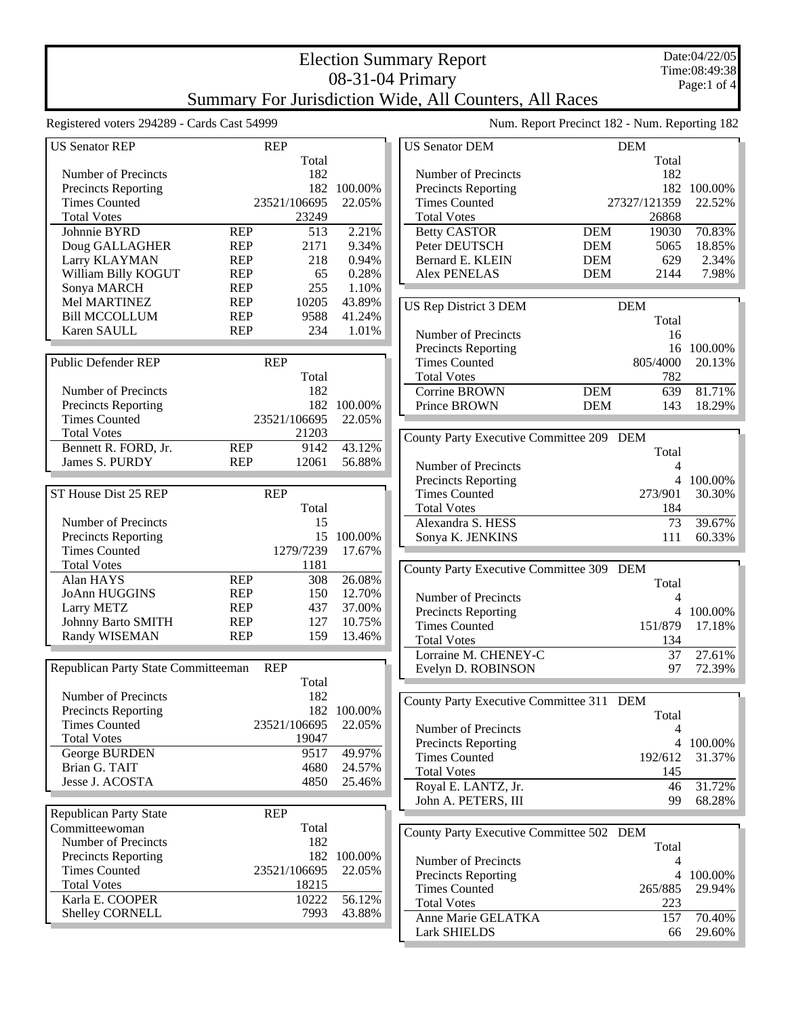## Election Summary Report 08-31-04 Primary Summary For Jurisdiction Wide, All Counters, All Races

Registered voters 294289 - Cards Cast 54999 Num. Report Precinct 182 - Num. Reporting 182

| <b>US Senator REP</b>               |            | <b>REP</b>   |         |
|-------------------------------------|------------|--------------|---------|
|                                     |            | Total        |         |
| Number of Precincts                 |            | 182          |         |
| <b>Precincts Reporting</b>          |            | 182          | 100.00% |
| <b>Times Counted</b>                |            | 23521/106695 | 22.05%  |
| <b>Total Votes</b>                  |            | 23249        |         |
| Johnnie BYRD                        | <b>REP</b> | 513          | 2.21%   |
| Doug GALLAGHER                      | REP        | 2171         | 9.34%   |
| Larry KLAYMAN                       | <b>REP</b> | 218          | 0.94%   |
| William Billy KOGUT                 | <b>REP</b> | 65           | 0.28%   |
| Sonya MARCH                         | <b>REP</b> | 255          | 1.10%   |
| Mel MARTINEZ                        | <b>REP</b> | 10205        | 43.89%  |
| <b>Bill MCCOLLUM</b>                | <b>REP</b> | 9588         | 41.24%  |
| Karen SAULL                         | <b>REP</b> | 234          | 1.01%   |
|                                     |            |              |         |
| <b>Public Defender REP</b>          |            | <b>REP</b>   |         |
|                                     |            | Total        |         |
| Number of Precincts                 |            | 182          |         |
|                                     |            |              |         |
| <b>Precincts Reporting</b>          |            | 182          | 100.00% |
| <b>Times Counted</b>                |            | 23521/106695 | 22.05%  |
| <b>Total Votes</b>                  |            | 21203        |         |
| Bennett R. FORD, Jr.                | <b>REP</b> | 9142         | 43.12%  |
| James S. PURDY                      | <b>REP</b> | 12061        | 56.88%  |
|                                     |            |              |         |
| ST House Dist 25 REP                |            | <b>REP</b>   |         |
|                                     |            | Total        |         |
| Number of Precincts                 |            | 15           |         |
| <b>Precincts Reporting</b>          |            | 15           | 100.00% |
| <b>Times Counted</b>                |            | 1279/7239    | 17.67%  |
| <b>Total Votes</b>                  |            | 1181         |         |
| Alan HAYS                           | <b>REP</b> | 308          | 26.08%  |
| <b>JoAnn HUGGINS</b>                | <b>REP</b> | 150          | 12.70%  |
| Larry METZ                          | REP        | 437          | 37.00%  |
| <b>Johnny Barto SMITH</b>           | <b>REP</b> | 127          | 10.75%  |
| Randy WISEMAN                       | <b>REP</b> | 159          | 13.46%  |
|                                     |            |              |         |
|                                     |            |              |         |
| Republican Party State Committeeman |            | <b>REP</b>   |         |
|                                     |            | Total        |         |
| Number of Precincts                 |            | 182          |         |
| <b>Precincts Reporting</b>          |            | 182          | 100.00% |
| <b>Times Counted</b>                |            | 23521/106695 | 22.05%  |
| <b>Total Votes</b>                  |            | 19047        |         |
| George BURDEN                       |            | 9517         | 49.97%  |
| Brian G. TAIT                       |            | 4680         | 24.57%  |
| Jesse J. ACOSTA                     |            | 4850         | 25.46%  |
|                                     |            |              |         |
| <b>Republican Party State</b>       |            | <b>REP</b>   |         |
| Committeewoman                      |            | Total        |         |
| <b>Number of Precincts</b>          |            | 182          |         |
|                                     |            | 182          | 100.00% |
| <b>Precincts Reporting</b>          |            | 23521/106695 |         |
| <b>Times Counted</b>                |            |              | 22.05%  |
| <b>Total Votes</b>                  |            | 18215        |         |
| Karla E. COOPER                     |            | 10222        | 56.12%  |
| Shelley CORNELL                     |            | 7993         | 43.88%  |
|                                     |            |              |         |

|                            | $1300, 1300, 1100, 1001, 102$ - $1300, 1000, 101, 102$ |              |             |
|----------------------------|--------------------------------------------------------|--------------|-------------|
| <b>US Senator DEM</b>      | <b>DEM</b>                                             |              |             |
|                            |                                                        | Total        |             |
| Number of Precincts        |                                                        | 182          |             |
| <b>Precincts Reporting</b> |                                                        |              | 182 100.00% |
| <b>Times Counted</b>       |                                                        | 27327/121359 | 22.52%      |
| <b>Total Votes</b>         |                                                        | 26868        |             |
| <b>Betty CASTOR</b>        | <b>DEM</b>                                             | 19030        | 70.83%      |
| Peter DEUTSCH              | <b>DEM</b>                                             | 5065         | 18.85%      |
| Bernard E. KLEIN           | <b>DEM</b>                                             | 629          | 2.34%       |
| Alex PENELAS               | <b>DEM</b>                                             | 2144         | 7.98%       |
|                            |                                                        |              |             |
| IIS Ren District 3 DEM     | DEM                                                    |              |             |

| <b>US Rep District 3 DEM</b> |            | <b>DEM</b> |            |
|------------------------------|------------|------------|------------|
|                              |            | Total      |            |
| Number of Precincts          |            | 16         |            |
| <b>Precincts Reporting</b>   |            |            | 16 100.00% |
| <b>Times Counted</b>         |            | 805/4000   | 20.13%     |
| <b>Total Votes</b>           |            | 782        |            |
| Corrine BROWN                | <b>DEM</b> | 639        | 81.71%     |
| Prince BROWN                 | <b>DEM</b> | 143        | 18 29%     |

| County Party Executive Committee 209 DEM |         |         |
|------------------------------------------|---------|---------|
|                                          | Total   |         |
| Number of Precincts                      |         |         |
| <b>Precincts Reporting</b>               | 4       | 100.00% |
| <b>Times Counted</b>                     | 273/901 | 30.30%  |
| <b>Total Votes</b>                       | 184     |         |
| Alexandra S. HESS                        | 73      | 39.67%  |
| Sonya K. JENKINS                         |         | 60.33%  |

| County Party Executive Committee 309 DEM |       |                |
|------------------------------------------|-------|----------------|
|                                          | Total |                |
| Number of Precincts                      |       |                |
| <b>Precincts Reporting</b>               | 4     | 100.00%        |
| <b>Times Counted</b>                     |       | 151/879 17.18% |
| <b>Total Votes</b>                       | 134   |                |
| Lorraine M. CHENEY-C                     | 37    | 27.61%         |
| Evelyn D. ROBINSON                       |       | 72.39%         |

| County Party Executive Committee 311 DEM |       |                |
|------------------------------------------|-------|----------------|
|                                          | Total |                |
| Number of Precincts                      |       |                |
| <b>Precincts Reporting</b>               |       | 4 100.00%      |
| <b>Times Counted</b>                     |       | 192/612 31.37% |
| <b>Total Votes</b>                       | 145   |                |
| Royal E. LANTZ, Jr.                      | 46    | 31.72%         |
| John A. PETERS, III                      | qq    | 68 28%         |

| County Party Executive Committee 502 DEM |       |                |
|------------------------------------------|-------|----------------|
|                                          | Total |                |
| Number of Precincts                      |       |                |
| <b>Precincts Reporting</b>               |       | 100.00%        |
| <b>Times Counted</b>                     |       | 265/885 29.94% |
| <b>Total Votes</b>                       | 223   |                |
| Anne Marie GELATKA                       | 157   | 70.40%         |
| <b>Lark SHIELDS</b>                      | 66    | 29.60%         |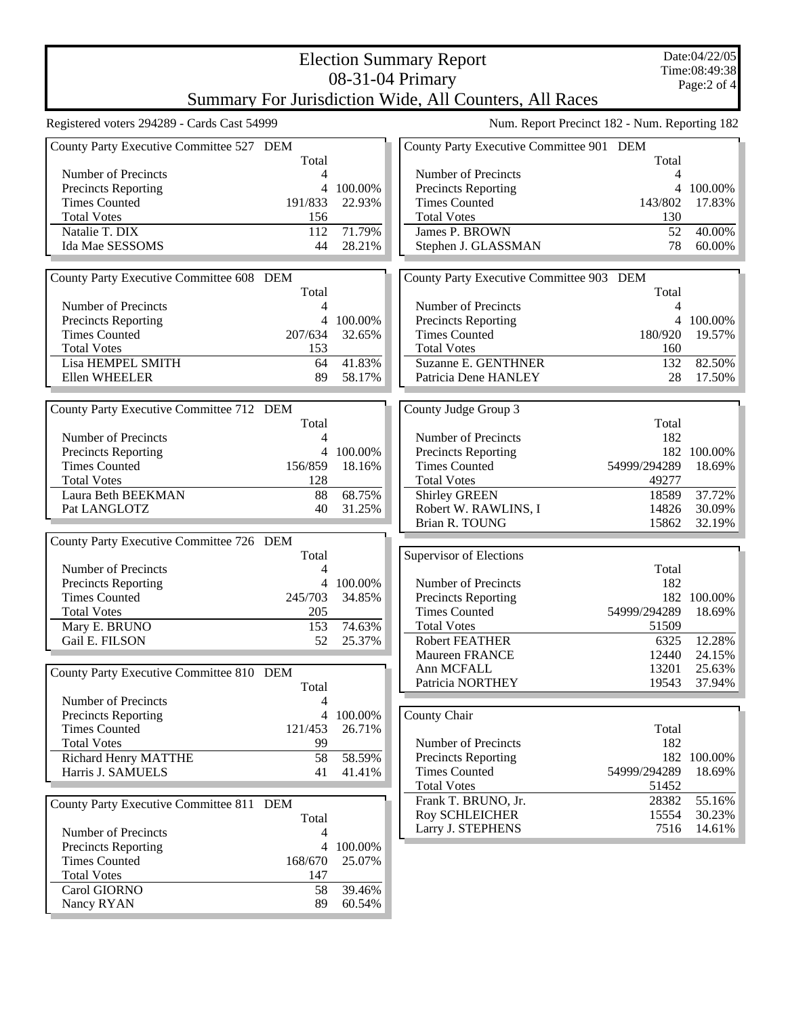| Date:04/22/05<br><b>Election Summary Report</b>                       |                |                   |                                               |                |             |
|-----------------------------------------------------------------------|----------------|-------------------|-----------------------------------------------|----------------|-------------|
| 08-31-04 Primary                                                      |                |                   |                                               | Time:08:49:38  |             |
| Page:2 of 4<br>Summary For Jurisdiction Wide, All Counters, All Races |                |                   |                                               |                |             |
| Registered voters 294289 - Cards Cast 54999                           |                |                   | Num. Report Precinct 182 - Num. Reporting 182 |                |             |
| County Party Executive Committee 527 DEM                              | Total          |                   | County Party Executive Committee 901 DEM      | Total          |             |
| Number of Precincts                                                   | 4              |                   | Number of Precincts                           | 4              |             |
| Precincts Reporting                                                   | 4              | 100.00%           | Precincts Reporting                           | $\overline{4}$ | 100.00%     |
| <b>Times Counted</b>                                                  | 191/833        | 22.93%            | <b>Times Counted</b>                          | 143/802        | 17.83%      |
| <b>Total Votes</b>                                                    | 156            |                   | <b>Total Votes</b>                            | 130            |             |
| Natalie T. DIX                                                        | 112            | 71.79%            | James P. BROWN                                | 52             | 40.00%      |
| Ida Mae SESSOMS                                                       | 44             | 28.21%            | Stephen J. GLASSMAN                           | 78             | 60.00%      |
|                                                                       |                |                   |                                               |                |             |
| County Party Executive Committee 608 DEM                              |                |                   | County Party Executive Committee 903 DEM      |                |             |
|                                                                       | Total          |                   |                                               | Total          |             |
| Number of Precincts                                                   | 4              |                   | Number of Precincts                           | 4              |             |
| <b>Precincts Reporting</b>                                            | 4              | 100.00%           | <b>Precincts Reporting</b>                    | 4              | 100.00%     |
| <b>Times Counted</b>                                                  | 207/634        | 32.65%            | <b>Times Counted</b>                          | 180/920        | 19.57%      |
| <b>Total Votes</b>                                                    | 153            |                   | <b>Total Votes</b>                            | 160            |             |
| Lisa HEMPEL SMITH                                                     | 64             | 41.83%            | <b>Suzanne E. GENTHNER</b>                    | 132            | 82.50%      |
| Ellen WHEELER                                                         | 89             | 58.17%            | Patricia Dene HANLEY                          | 28             | 17.50%      |
|                                                                       |                |                   |                                               |                |             |
| County Party Executive Committee 712 DEM                              |                |                   | County Judge Group 3                          |                |             |
|                                                                       | Total          |                   |                                               | Total          |             |
| Number of Precincts                                                   | 4              |                   | Number of Precincts                           | 182            |             |
| Precincts Reporting                                                   | 4              | 100.00%           | Precincts Reporting                           |                | 182 100.00% |
| <b>Times Counted</b>                                                  | 156/859<br>128 | 18.16%            | <b>Times Counted</b><br><b>Total Votes</b>    | 54999/294289   | 18.69%      |
| <b>Total Votes</b><br>Laura Beth BEEKMAN                              | 88             | 68.75%            | <b>Shirley GREEN</b>                          | 49277<br>18589 | 37.72%      |
| Pat LANGLOTZ                                                          | 40             | 31.25%            | Robert W. RAWLINS, I                          | 14826          | 30.09%      |
|                                                                       |                |                   | Brian R. TOUNG                                | 15862          | 32.19%      |
| County Party Executive Committee 726 DEM                              |                |                   |                                               |                |             |
|                                                                       | Total          |                   | <b>Supervisor of Elections</b>                |                |             |
| Number of Precincts                                                   | 4              |                   |                                               | Total          |             |
| Precincts Reporting                                                   | 4              | 100.00%           | Number of Precincts                           | 182            |             |
| <b>Times Counted</b>                                                  | 245/703        | 34.85%            | <b>Precincts Reporting</b>                    |                | 182 100.00% |
| <b>Total Votes</b>                                                    | 205            |                   | <b>Times Counted</b>                          | 54999/294289   | 18.69%      |
| Mary E. BRUNO                                                         | 153            | 74.63%            | <b>Total Votes</b>                            | 51509          |             |
| Gail E. FILSON                                                        | 52             | 25.37%            | <b>Robert FEATHER</b>                         | 6325           | 12.28%      |
|                                                                       |                |                   | Maureen FRANCE                                | 12440          | 24.15%      |
| County Party Executive Committee 810 DEM                              |                |                   | Ann MCFALL                                    | 13201          | 25.63%      |
|                                                                       | Total          |                   | Patricia NORTHEY                              | 19543          | 37.94%      |
| Number of Precincts                                                   | 4              |                   |                                               |                |             |
| <b>Precincts Reporting</b>                                            | 4              | 100.00%           | County Chair                                  |                |             |
| <b>Times Counted</b>                                                  | 121/453        | 26.71%            |                                               | Total          |             |
| <b>Total Votes</b>                                                    | 99             |                   | Number of Precincts                           | 182            |             |
| Richard Henry MATTHE                                                  | 58             | 58.59%            | <b>Precincts Reporting</b>                    |                | 182 100.00% |
| Harris J. SAMUELS                                                     | 41             | 41.41%            | <b>Times Counted</b><br><b>Total Votes</b>    | 54999/294289   | 18.69%      |
|                                                                       |                |                   | Frank T. BRUNO, Jr.                           | 51452<br>28382 | 55.16%      |
| County Party Executive Committee 811 DEM                              |                |                   | Roy SCHLEICHER                                | 15554          | 30.23%      |
|                                                                       | Total          |                   | Larry J. STEPHENS                             | 7516           | 14.61%      |
| Number of Precincts                                                   | 4              |                   |                                               |                |             |
| <b>Precincts Reporting</b><br><b>Times Counted</b>                    | 4<br>168/670   | 100.00%<br>25.07% |                                               |                |             |
| <b>Total Votes</b>                                                    | 147            |                   |                                               |                |             |
| Carol GIORNO                                                          | 58             | 39.46%            |                                               |                |             |
| Nancy RYAN                                                            | 89             | 60.54%            |                                               |                |             |
|                                                                       |                |                   |                                               |                |             |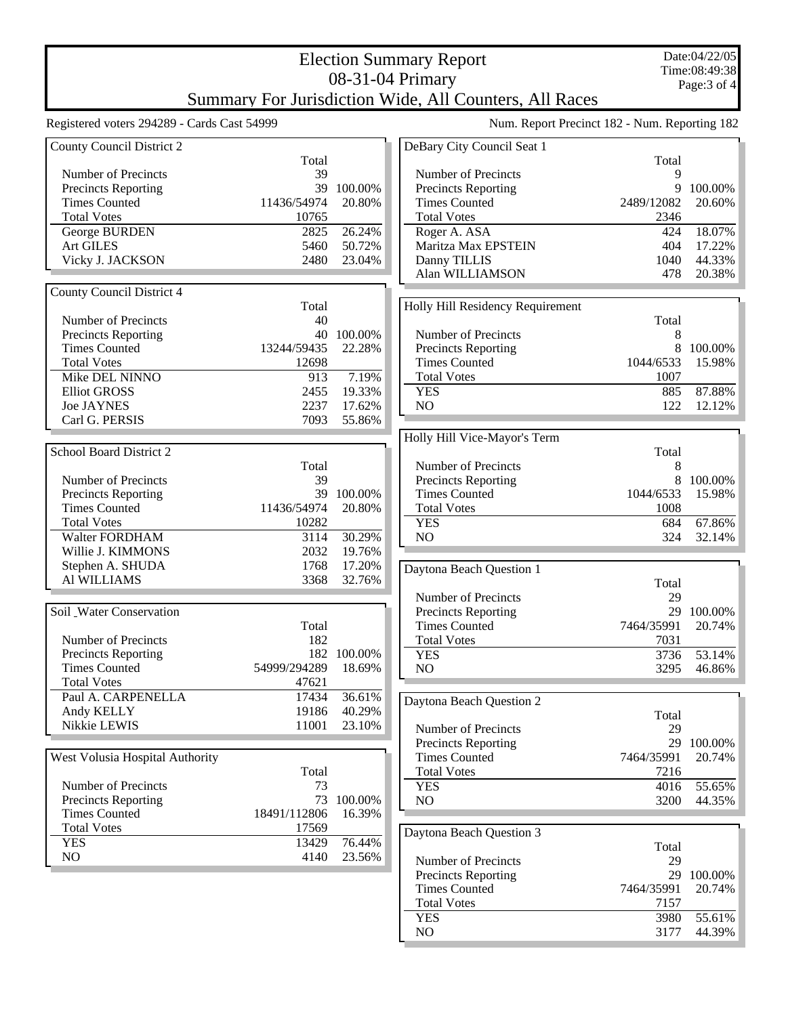## 08-31-04 Primary Summary For Jurisdiction Wide, All Counters, All Races

Election Summary Report

| Registered voters 294289 - Cards Cast 54999 |              |             | Num. Report Precinct 182 - N     |                 |
|---------------------------------------------|--------------|-------------|----------------------------------|-----------------|
| County Council District 2                   |              |             | DeBary City Council Seat 1       |                 |
|                                             | Total        |             |                                  |                 |
| Number of Precincts                         | 39           |             | Number of Precincts              |                 |
| Precincts Reporting                         |              | 39 100.00%  | Precincts Reporting              |                 |
| <b>Times Counted</b>                        | 11436/54974  | 20.80%      | <b>Times Counted</b>             | 248             |
| <b>Total Votes</b>                          | 10765        |             | <b>Total Votes</b>               |                 |
| George BURDEN                               | 2825         | 26.24%      | Roger A. ASA                     |                 |
| <b>Art GILES</b>                            | 5460         | 50.72%      | Maritza Max EPSTEIN              |                 |
| Vicky J. JACKSON                            | 2480         | 23.04%      | Danny TILLIS                     |                 |
|                                             |              |             | Alan WILLIAMSON                  |                 |
| County Council District 4                   |              |             |                                  |                 |
|                                             | Total        |             | Holly Hill Residency Requirement |                 |
| Number of Precincts                         | 40           |             |                                  |                 |
| <b>Precincts Reporting</b>                  |              | 40 100.00%  | Number of Precincts              |                 |
| <b>Times Counted</b>                        | 13244/59435  | 22.28%      | Precincts Reporting              |                 |
| <b>Total Votes</b>                          | 12698        |             | <b>Times Counted</b>             | 10 <sup>4</sup> |
| Mike DEL NINNO                              | 913          | 7.19%       | <b>Total Votes</b>               |                 |
|                                             |              |             |                                  |                 |
| <b>Elliot GROSS</b>                         | 2455         | 19.33%      | <b>YES</b>                       |                 |
| <b>Joe JAYNES</b>                           | 2237         | 17.62%      | NO                               |                 |
| Carl G. PERSIS                              | 7093         | 55.86%      |                                  |                 |
|                                             |              |             | Holly Hill Vice-Mayor's Term     |                 |
| School Board District 2                     |              |             |                                  |                 |
|                                             | Total        |             | <b>Number of Precincts</b>       |                 |
| Number of Precincts                         | 39           |             | Precincts Reporting              |                 |
| Precincts Reporting                         |              | 39 100.00%  | <b>Times Counted</b>             | 10 <sup>4</sup> |
| <b>Times Counted</b>                        | 11436/54974  | 20.80%      | <b>Total Votes</b>               |                 |
| <b>Total Votes</b>                          | 10282        |             | <b>YES</b>                       |                 |
| Walter FORDHAM                              | 3114         | 30.29%      | N <sub>O</sub>                   |                 |
| Willie J. KIMMONS                           | 2032         | 19.76%      |                                  |                 |
| Stephen A. SHUDA                            | 1768         | 17.20%      |                                  |                 |
| Al WILLIAMS                                 | 3368         | 32.76%      | Daytona Beach Question 1         |                 |
|                                             |              |             | Number of Precincts              |                 |
|                                             |              |             |                                  |                 |
| Soil Water Conservation                     |              |             | <b>Precincts Reporting</b>       |                 |
|                                             | Total        |             | <b>Times Counted</b>             | 746             |
| Number of Precincts                         | 182          |             | <b>Total Votes</b>               |                 |
| Precincts Reporting                         |              | 182 100.00% | <b>YES</b>                       |                 |
| <b>Times Counted</b>                        | 54999/294289 | 18.69%      | NO                               |                 |
| <b>Total Votes</b>                          | 47621        |             |                                  |                 |
| Paul A. CARPENELLA                          | 17434        | 36.61%      | Daytona Beach Question 2         |                 |
| Andy KELLY                                  | 19186        | 40.29%      |                                  |                 |
| Nikkie LEWIS                                | 11001        | 23.10%      | Number of Precincts              |                 |
|                                             |              |             | <b>Precincts Reporting</b>       |                 |
|                                             |              |             |                                  |                 |
| West Volusia Hospital Authority             |              |             | <b>Times Counted</b>             | 746             |
|                                             | Total        |             | <b>Total Votes</b>               |                 |
| Number of Precincts                         | 73           |             | <b>YES</b>                       |                 |
| Precincts Reporting                         | 73           | 100.00%     | NO                               |                 |
| <b>Times Counted</b>                        | 18491/112806 | 16.39%      |                                  |                 |
| <b>Total Votes</b>                          | 17569        |             |                                  |                 |
| <b>YES</b>                                  | 13429        | 76.44%      | Daytona Beach Question 3         |                 |
| NO.                                         | 4140         | 23.56%      | Number of Precincts              |                 |
|                                             |              |             |                                  |                 |
|                                             |              |             | Precincts Reporting              |                 |
|                                             |              |             | <b>Times Counted</b>             | 746             |
|                                             |              |             | <b>Total Votes</b>               |                 |

Jum. Reporting 182

| DeBary City Council Seat 1 |            |         |
|----------------------------|------------|---------|
|                            | Total      |         |
| Number of Precincts        | 9          |         |
| <b>Precincts Reporting</b> | 9          | 100.00% |
| <b>Times Counted</b>       | 2489/12082 | 20.60%  |
| <b>Total Votes</b>         | 2346       |         |
| Roger A. ASA               | 424        | 18.07%  |
| Maritza Max EPSTEIN        | 404        | 17.22%  |
| Danny TILLIS               | 1040       | 44.33%  |
| Alan WILLIAMSON            | 478        | 20.38%  |
|                            |            |         |

| <b>Iolly Hill Residency Requirement</b> |                  |            |
|-----------------------------------------|------------------|------------|
|                                         | Total            |            |
| Number of Precincts                     | Χ                |            |
| Precincts Reporting                     |                  | 100.00%    |
| <b>Times Counted</b>                    | 1044/6533 15.98% |            |
| <b>Total Votes</b>                      | 1007             |            |
| <b>YES</b>                              | 885              | 87.88%     |
| NO.                                     |                  | 122 12.12% |
|                                         |                  |            |

|                            | Total            |           |
|----------------------------|------------------|-----------|
| Number of Precincts        |                  |           |
| <b>Precincts Reporting</b> |                  | 8 100.00% |
| <b>Times Counted</b>       | 1044/6533 15.98% |           |
| <b>Total Votes</b>         | 1008             |           |
| <b>YES</b>                 | 684              | $67.86\%$ |
| NΩ                         | 324              | $32.14\%$ |

| Daytona Beach Question 1   |                   |             |
|----------------------------|-------------------|-------------|
|                            | Total             |             |
| Number of Precincts        | 29                |             |
| <b>Precincts Reporting</b> |                   | 29 100.00%  |
| <b>Times Counted</b>       | 7464/35991 20.74% |             |
| <b>Total Votes</b>         | 7031              |             |
| <b>YES</b>                 |                   | 3736 53.14% |
| NO.                        | 3295              | 46.86%      |

Total<br>29 Number of Precincts 29 29 100.00%<br>
91 20.74% 4/35991 7216 YES 4016 55.65% NO 3200 44.35%

|                      | Total             |            |
|----------------------|-------------------|------------|
| Number of Precincts  | 29                |            |
| Precincts Reporting  |                   | 29 100,00% |
| <b>Times Counted</b> | 7464/35991 20.74% |            |
| <b>Total Votes</b>   | 7157              |            |
| YES                  | 3980              | 55.61%     |
| NО                   | 3177              | 44.39%     |